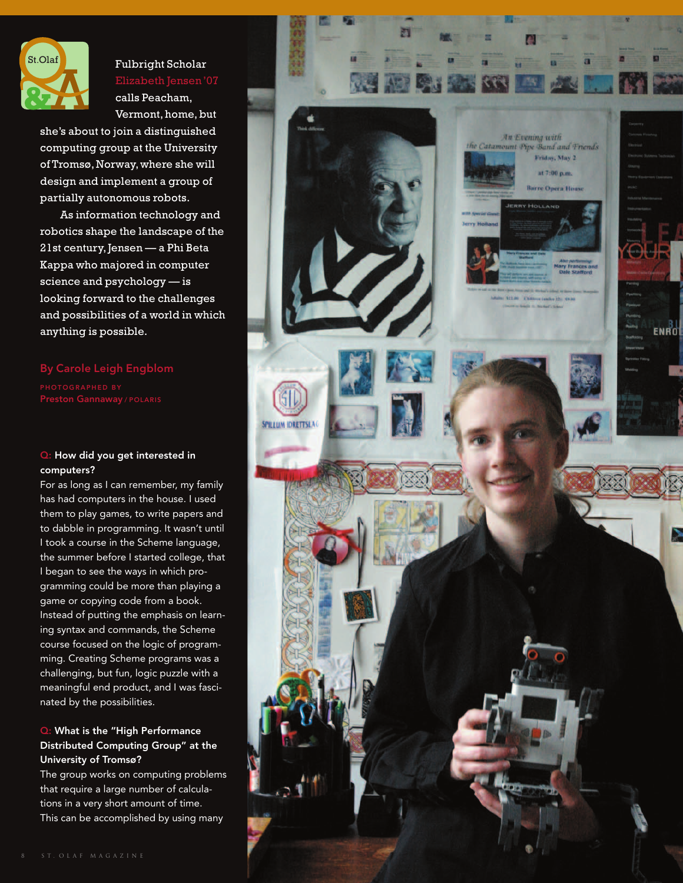

Fulbright Scholar Elizabeth Jensen'07 calls Peacham, Vermont, home, but

she's about to join a distinguished computing group at the University of Tromsø, Norway,where she will design and implement a group of partially autonomous robots.

As information technology and robotics shape the landscape of the 21st century,Jensen — a Phi Beta Kappa who majored in computer science and psychology — is looking forward to the challenges and possibilities of a world in which anything is possible.

#### By Carole Leigh Engblom

Preston Gannaway / POLARIS

#### Q: How did you get interested in computers?

For as long as I can remember, my family has had computers in the house. I used them to play games, to write papers and to dabble in programming. It wasn't until I took a course in the Scheme language, the summer before I started college, that I began to see the ways in which programming could be more than playing a game or copying code from a book. Instead of putting the emphasis on learning syntax and commands, the Scheme course focused on the logic of programming. Creating Scheme programs was a challenging, but fun, logic puzzle with a meaningful end product, and I was fascinated by the possibilities.

### Q: What is the "High Performance Distributed Computing Group" at the University of Tromsø?

The group works on computing problems that require a large number of calculations in a very short amount of time. This can be accomplished by using many